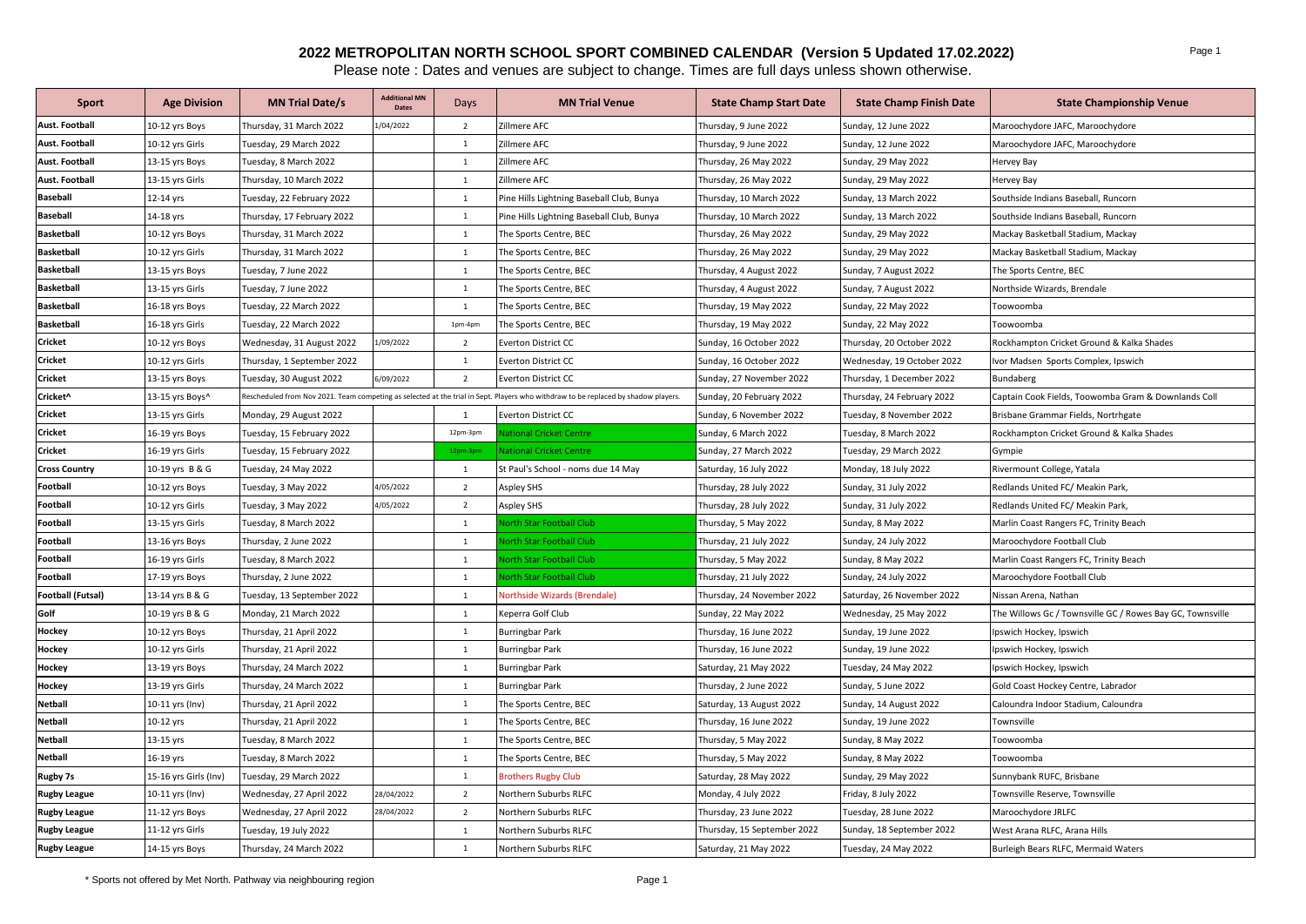## **2022 METROPOLITAN NORTH SCHOOL SPORT COMBINED CALENDAR (Version 5 Updated 17.02.2022)**

Please note : Dates and venues are subject to change. Times are full days unless shown otherwise.

| Sport                 | <b>Age Division</b>   | <b>MN Trial Date/s</b>     | <b>Additional MN</b><br><b>Dates</b> | Days           | <b>MN Trial Venue</b>                                                                                                              | <b>State Champ Start Date</b> | <b>State Champ Finish Date</b> | <b>State Championship Venue</b>                           |
|-----------------------|-----------------------|----------------------------|--------------------------------------|----------------|------------------------------------------------------------------------------------------------------------------------------------|-------------------------------|--------------------------------|-----------------------------------------------------------|
| Aust. Football        | 10-12 yrs Boys        | Thursday, 31 March 2022    | 1/04/2022                            | $\overline{2}$ | Zillmere AFC                                                                                                                       | Thursday, 9 June 2022         | Sunday, 12 June 2022           | Maroochydore JAFC, Maroochydore                           |
| <b>Aust. Football</b> | 10-12 yrs Girls       | Tuesday, 29 March 2022     |                                      | 1              | Zillmere AFC                                                                                                                       | Thursday, 9 June 2022         | Sunday, 12 June 2022           | Maroochydore JAFC, Maroochydore                           |
| Aust. Football        | 13-15 yrs Boys        | Tuesday, 8 March 2022      |                                      | 1              | Zillmere AFC                                                                                                                       | Thursday, 26 May 2022         | Sunday, 29 May 2022            | Hervey Bay                                                |
| <b>Aust. Football</b> | 13-15 yrs Girls       | Thursday, 10 March 2022    |                                      | 1              | Zillmere AFC                                                                                                                       | Thursday, 26 May 2022         | Sunday, 29 May 2022            | Hervey Bay                                                |
| <b>Baseball</b>       | 12-14 yrs             | Tuesday, 22 February 2022  |                                      | $\mathbf{1}$   | Pine Hills Lightning Baseball Club, Bunya                                                                                          | Thursday, 10 March 2022       | Sunday, 13 March 2022          | Southside Indians Baseball, Runcorn                       |
| <b>Baseball</b>       | 14-18 yrs             | Thursday, 17 February 2022 |                                      | $\mathbf{1}$   | Pine Hills Lightning Baseball Club, Bunya                                                                                          | Thursday, 10 March 2022       | Sunday, 13 March 2022          | Southside Indians Baseball, Runcorn                       |
| <b>Basketball</b>     | 10-12 yrs Boys        | Thursday, 31 March 2022    |                                      | <sup>1</sup>   | The Sports Centre, BEC                                                                                                             | Thursday, 26 May 2022         | Sunday, 29 May 2022            | Mackay Basketball Stadium, Mackay                         |
| <b>Basketball</b>     | 10-12 yrs Girls       | Thursday, 31 March 2022    |                                      | $\mathbf{1}$   | The Sports Centre, BEC                                                                                                             | Thursday, 26 May 2022         | Sunday, 29 May 2022            | Mackay Basketball Stadium, Mackay                         |
| <b>Basketball</b>     | 13-15 yrs Boys        | Tuesday, 7 June 2022       |                                      | <sup>1</sup>   | The Sports Centre, BEC                                                                                                             | Thursday, 4 August 2022       | Sunday, 7 August 2022          | The Sports Centre, BEC                                    |
| <b>Basketball</b>     | 13-15 yrs Girls       | Tuesday, 7 June 2022       |                                      | $\mathbf{1}$   | The Sports Centre, BEC                                                                                                             | Thursday, 4 August 2022       | Sunday, 7 August 2022          | Northside Wizards, Brendale                               |
| Basketball            | 16-18 yrs Boys        | Tuesday, 22 March 2022     |                                      | $\mathbf{1}$   | The Sports Centre, BEC                                                                                                             | Thursday, 19 May 2022         | Sunday, 22 May 2022            | Toowoomba                                                 |
| <b>Basketball</b>     | 16-18 yrs Girls       | Tuesday, 22 March 2022     |                                      | 1pm-4pn        | The Sports Centre, BEC                                                                                                             | Thursday, 19 May 2022         | Sunday, 22 May 2022            | Toowoomba                                                 |
| Cricket               | 10-12 yrs Boys        | Wednesday, 31 August 2022  | 1/09/2022                            | $\overline{2}$ | Everton District CC                                                                                                                | Sunday, 16 October 2022       | Thursday, 20 October 2022      | Rockhampton Cricket Ground & Kalka Shades                 |
| <b>Cricket</b>        | 10-12 yrs Girls       | Thursday, 1 September 2022 |                                      | $\mathbf{1}$   | Everton District CC                                                                                                                | Sunday, 16 October 2022       | Wednesday, 19 October 2022     | Ivor Madsen Sports Complex, Ipswich                       |
| <b>Cricket</b>        | 13-15 yrs Boys        | Tuesday, 30 August 2022    | 6/09/2022                            | 2              | Everton District CC                                                                                                                | Sunday, 27 November 2022      | Thursday, 1 December 2022      | Bundaberg                                                 |
| Cricket^              | 13-15 yrs Boys^       |                            |                                      |                | Rescheduled from Nov 2021. Team competing as selected at the trial in Sept. Players who withdraw to be replaced by shadow players. | Sunday, 20 February 2022      | Thursday, 24 February 2022     | Captain Cook Fields, Toowomba Gram & Downlands Coll       |
| <b>Cricket</b>        | 13-15 yrs Girls       | Monday, 29 August 2022     |                                      | 1              | <b>Everton District CC</b>                                                                                                         | Sunday, 6 November 2022       | Tuesday, 8 November 2022       | Brisbane Grammar Fields, Nortrhgate                       |
| Cricket               | 16-19 yrs Boys        | Tuesday, 15 February 2022  |                                      | 12pm-3pm       | ational Cricket Centre                                                                                                             | Sunday, 6 March 2022          | Tuesday, 8 March 2022          | Rockhampton Cricket Ground & Kalka Shades                 |
| <b>Cricket</b>        | 16-19 yrs Girls       | Tuesday, 15 February 2022  |                                      | 12pm-3pr       | <b>National Cricket Centre</b>                                                                                                     | Sunday, 27 March 2022         | Tuesday, 29 March 2022         | Gympie                                                    |
| <b>Cross Country</b>  | 10-19 yrs B & G       | Tuesday, 24 May 2022       |                                      | <sup>1</sup>   | St Paul's School - noms due 14 May                                                                                                 | Saturday, 16 July 2022        | Monday, 18 July 2022           | Rivermount College, Yatala                                |
| Football              | 10-12 yrs Boys        | Tuesday, 3 May 2022        | 4/05/2022                            | $\overline{2}$ | Aspley SHS                                                                                                                         | Thursday, 28 July 2022        | Sunday, 31 July 2022           | Redlands United FC/ Meakin Park,                          |
| Football              | 10-12 yrs Girls       | Tuesday, 3 May 2022        | 4/05/2022                            | $\overline{2}$ | Aspley SHS                                                                                                                         | Thursday, 28 July 2022        | Sunday, 31 July 2022           | Redlands United FC/ Meakin Park,                          |
| Football              | 13-15 yrs Girls       | Tuesday, 8 March 2022      |                                      | $\overline{1}$ | orth Star Football Club                                                                                                            | Thursday, 5 May 2022          | Sunday, 8 May 2022             | Marlin Coast Rangers FC, Trinity Beach                    |
| Football              | 13-16 yrs Boys        | Thursday, 2 June 2022      |                                      | $\mathbf{1}$   | orth Star Football Club                                                                                                            | Thursday, 21 July 2022        | Sunday, 24 July 2022           | Maroochydore Football Club                                |
| Football              | 16-19 yrs Girls       | Tuesday, 8 March 2022      |                                      | <sup>1</sup>   | orth Star Football Club                                                                                                            | Thursday, 5 May 2022          | Sunday, 8 May 2022             | Marlin Coast Rangers FC, Trinity Beach                    |
| Football              | 17-19 yrs Boys        | Thursday, 2 June 2022      |                                      | 1              | orth Star Football Club                                                                                                            | Thursday, 21 July 2022        | Sunday, 24 July 2022           | Maroochydore Football Club                                |
| Football (Futsal)     | 13-14 yrs B & G       | Tuesday, 13 September 2022 |                                      | $\mathbf{1}$   | <b>Northside Wizards (Brendale)</b>                                                                                                | Thursday, 24 November 2022    | Saturday, 26 November 2022     | Nissan Arena, Nathan                                      |
| Golf                  | 10-19 yrs B & G       | Monday, 21 March 2022      |                                      | 1              | Keperra Golf Club                                                                                                                  | Sunday, 22 May 2022           | Wednesday, 25 May 2022         | The Willows Gc / Townsville GC / Rowes Bay GC, Townsville |
| Hockey                | 10-12 yrs Boys        | Thursday, 21 April 2022    |                                      | $\mathbf{1}$   | Burringbar Park                                                                                                                    | Thursday, 16 June 2022        | Sunday, 19 June 2022           | Ipswich Hockey, Ipswich                                   |
| Hockey                | 10-12 yrs Girls       | Thursday, 21 April 2022    |                                      | $\mathbf{1}$   | Burringbar Park                                                                                                                    | Thursday, 16 June 2022        | Sunday, 19 June 2022           | Ipswich Hockey, Ipswich                                   |
| Hockey                | 13-19 yrs Boys        | Thursday, 24 March 2022    |                                      | $\mathbf{1}$   | Burringbar Park                                                                                                                    | Saturday, 21 May 2022         | Tuesday, 24 May 2022           | Ipswich Hockey, Ipswich                                   |
| Hockey                | 13-19 yrs Girls       | Thursday, 24 March 2022    |                                      | $\overline{1}$ | Burringbar Park                                                                                                                    | Thursday, 2 June 2022         | Sunday, 5 June 2022            | Gold Coast Hockey Centre, Labrador                        |
| Netball               | 10-11 yrs (Inv)       | Thursday, 21 April 2022    |                                      | $\overline{1}$ | The Sports Centre, BEC                                                                                                             | Saturday, 13 August 2022      | Sunday, 14 August 2022         | Caloundra Indoor Stadium, Caloundra                       |
| Netball               | 10-12 yrs             | Thursday, 21 April 2022    |                                      | 1              | The Sports Centre, BEC                                                                                                             | Thursday, 16 June 2022        | Sunday, 19 June 2022           | Townsville                                                |
| Netball               | 13-15 yrs             | Tuesday, 8 March 2022      |                                      | $\mathbf{1}$   | The Sports Centre, BEC                                                                                                             | Thursday, 5 May 2022          | Sunday, 8 May 2022             | Toowoomba                                                 |
| Netball               | 16-19 yrs             | Tuesday, 8 March 2022      |                                      | <sup>1</sup>   | The Sports Centre, BEC                                                                                                             | Thursday, 5 May 2022          | Sunday, 8 May 2022             | Toowoomba                                                 |
| <b>Rugby 7s</b>       | 15-16 yrs Girls (Inv) | Tuesday, 29 March 2022     |                                      | 1              | <b>Brothers Rugby Club</b>                                                                                                         | Saturday, 28 May 2022         | Sunday, 29 May 2022            | Sunnybank RUFC, Brisbane                                  |
| <b>Rugby League</b>   | 10-11 yrs (Inv)       | Wednesday, 27 April 2022   | 28/04/2022                           | $\overline{2}$ | Northern Suburbs RLFC                                                                                                              | Monday, 4 July 2022           | Friday, 8 July 2022            | Townsville Reserve, Townsville                            |
| <b>Rugby League</b>   | 11-12 yrs Boys        | Wednesday, 27 April 2022   | 28/04/2022                           | $\overline{2}$ | <b>Northern Suburbs RLFC</b>                                                                                                       | Thursday, 23 June 2022        | Tuesday, 28 June 2022          | Maroochydore JRLFC                                        |
| <b>Rugby League</b>   | 11-12 yrs Girls       | Tuesday, 19 July 2022      |                                      | $\mathbf{1}$   | Northern Suburbs RLFC                                                                                                              | Thursday, 15 September 2022   | Sunday, 18 September 2022      | West Arana RLFC, Arana Hills                              |
| <b>Rugby League</b>   | 14-15 yrs Boys        | Thursday, 24 March 2022    |                                      | $\mathbf{1}$   | Northern Suburbs RLFC                                                                                                              | Saturday, 21 May 2022         | Tuesday, 24 May 2022           | Burleigh Bears RLFC, Mermaid Waters                       |